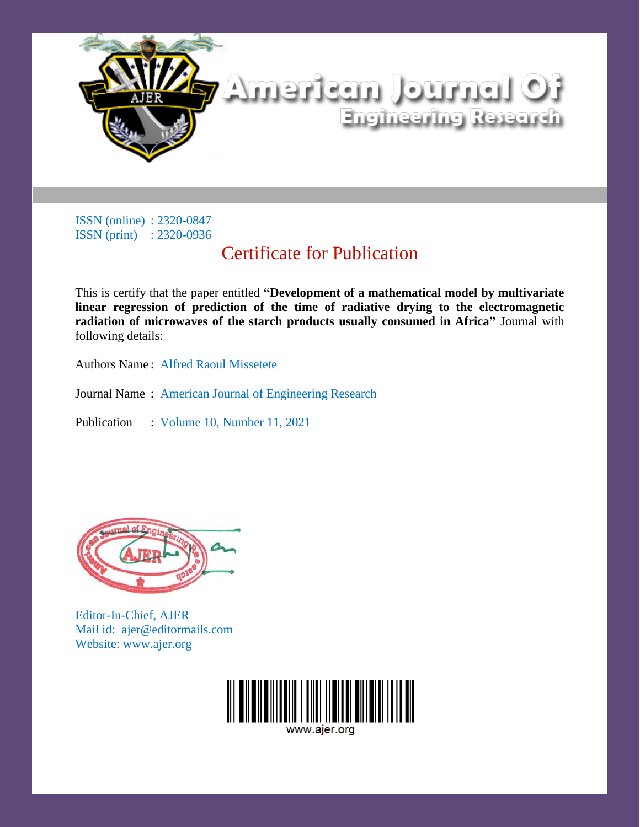

# Certificate for Publication

This is certify that the paper entitled **"Development of a mathematical model by multivariate linear regression of prediction of the time of radiative drying to the electromagnetic radiation of microwaves of the starch products usually consumed in Africa"** Journal with following details:

Authors Name : Alfred Raoul Missetete

Journal Name : American Journal of Engineering Research



Editor-In-Chief, AJER Mail id: ajer@editormails.com Website: www.ajer.org

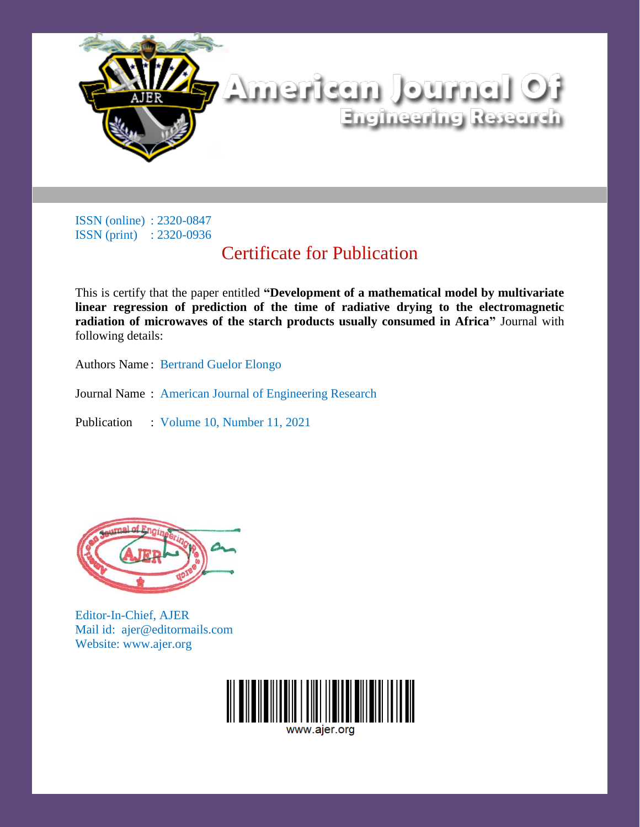

# Certificate for Publication

This is certify that the paper entitled **"Development of a mathematical model by multivariate linear regression of prediction of the time of radiative drying to the electromagnetic radiation of microwaves of the starch products usually consumed in Africa"** Journal with following details:

Authors Name : Bertrand Guelor Elongo

Journal Name : American Journal of Engineering Research



Editor-In-Chief, AJER Mail id: ajer@editormails.com Website: www.ajer.org

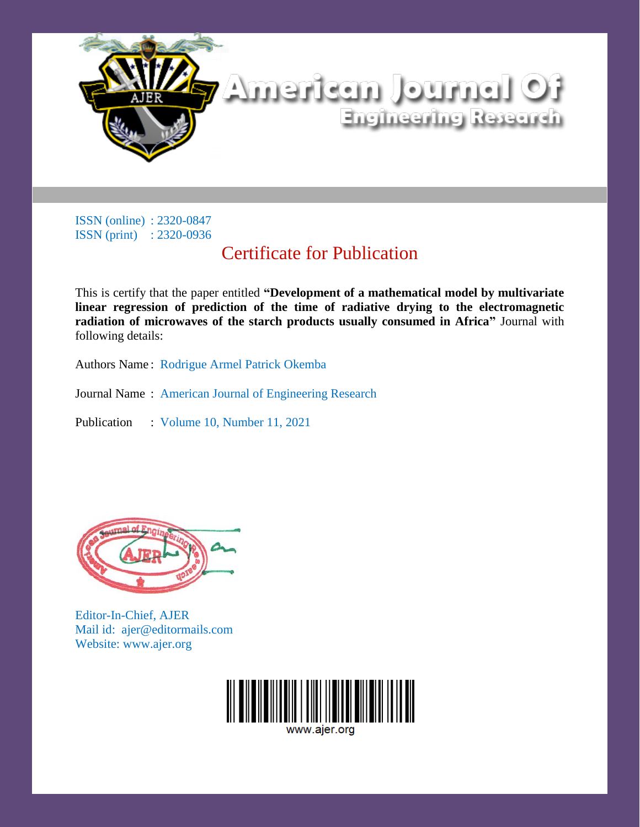

### Certificate for Publication

This is certify that the paper entitled **"Development of a mathematical model by multivariate linear regression of prediction of the time of radiative drying to the electromagnetic radiation of microwaves of the starch products usually consumed in Africa"** Journal with following details:

Authors Name : Rodrigue Armel Patrick Okemba

Journal Name : American Journal of Engineering Research



Editor-In-Chief, AJER Mail id: ajer@editormails.com Website: www.ajer.org

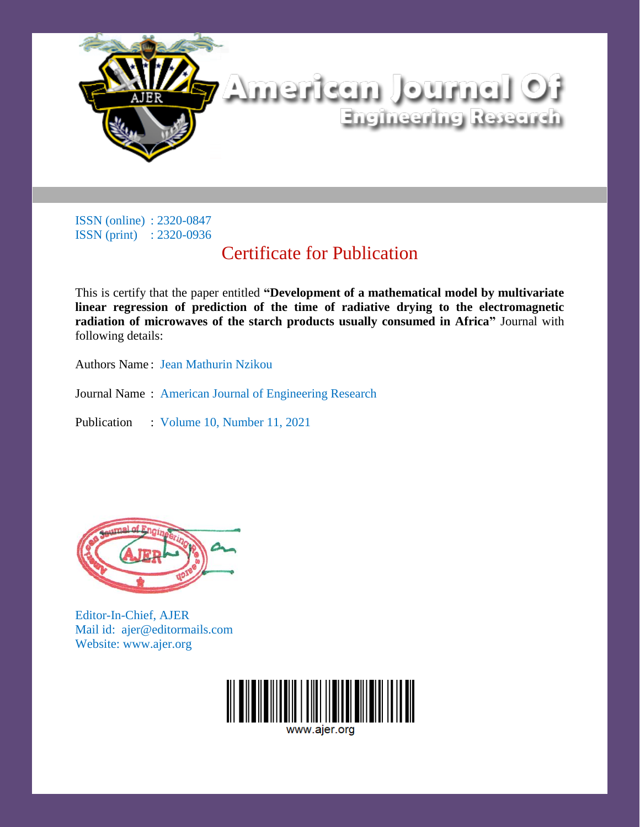

# Certificate for Publication

This is certify that the paper entitled **"Development of a mathematical model by multivariate linear regression of prediction of the time of radiative drying to the electromagnetic radiation of microwaves of the starch products usually consumed in Africa"** Journal with following details:

Authors Name : Jean Mathurin Nzikou

Journal Name : American Journal of Engineering Research



Editor-In-Chief, AJER Mail id: ajer@editormails.com Website: www.ajer.org

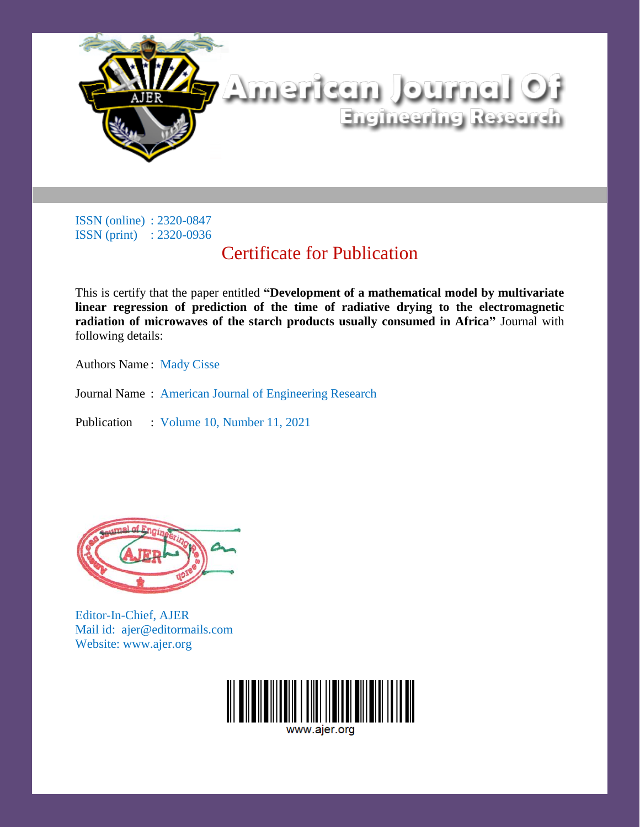

### Certificate for Publication

This is certify that the paper entitled **"Development of a mathematical model by multivariate linear regression of prediction of the time of radiative drying to the electromagnetic radiation of microwaves of the starch products usually consumed in Africa"** Journal with following details:

Authors Name : Mady Cisse

Journal Name : American Journal of Engineering Research



Editor-In-Chief, AJER Mail id: ajer@editormails.com Website: www.ajer.org